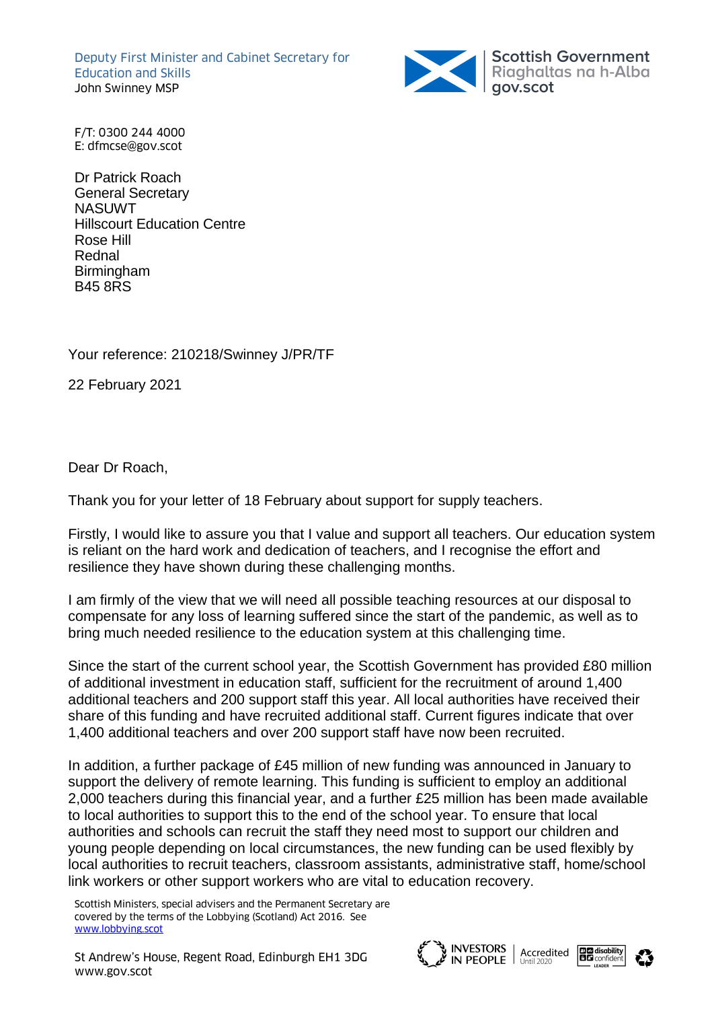Deputy First Minister and Cabinet Secretary for Education and Skills John Swinney MSP



F/T: 0300 244 4000 E: dfmcse@gov.scot

Dr Patrick Roach General Secretary **NASUWT** Hillscourt Education Centre Rose Hill Rednal Birmingham B45 8RS

Your reference: 210218/Swinney J/PR/TF

22 February 2021

Dear Dr Roach,

Thank you for your letter of 18 February about support for supply teachers.

Firstly, I would like to assure you that I value and support all teachers. Our education system is reliant on the hard work and dedication of teachers, and I recognise the effort and resilience they have shown during these challenging months.

I am firmly of the view that we will need all possible teaching resources at our disposal to compensate for any loss of learning suffered since the start of the pandemic, as well as to bring much needed resilience to the education system at this challenging time.

Since the start of the current school year, the Scottish Government has provided £80 million of additional investment in education staff, sufficient for the recruitment of around 1,400 additional teachers and 200 support staff this year. All local authorities have received their share of this funding and have recruited additional staff. Current figures indicate that over 1,400 additional teachers and over 200 support staff have now been recruited.

In addition, a further package of £45 million of new funding was announced in January to support the delivery of remote learning. This funding is sufficient to employ an additional 2,000 teachers during this financial year, and a further £25 million has been made available to local authorities to support this to the end of the school year. To ensure that local authorities and schools can recruit the staff they need most to support our children and young people depending on local circumstances, the new funding can be used flexibly by local authorities to recruit teachers, classroom assistants, administrative staff, home/school link workers or other support workers who are vital to education recovery.

Scottish Ministers, special advisers and the Permanent Secretary are covered by the terms of the Lobbying (Scotland) Act 2016. See [www.lobbying.scot](http://www.lobbying.scot/)